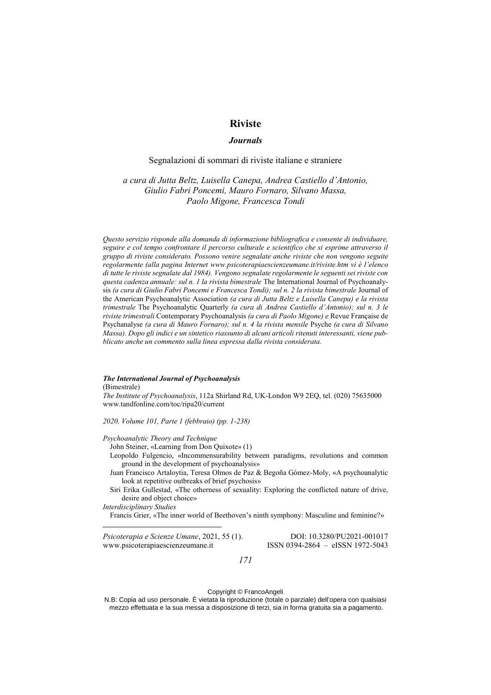# **Riviste**

# *Journals*

# Segnalazioni di sommari di riviste italiane e straniere

*a cura di Jutta Beltz, Luisella Canepa, Andrea Castiello d'Antonio, Giulio Fabri Poncemi, Mauro Fornaro, Silvano Massa, Paolo Migone, Francesca Tondi*

*Questo servizio risponde alla domanda di informazione bibliografica e consente di individuare, seguire e col tempo confrontare il percorso culturale e scientifico che si esprime attraverso il gruppo di riviste considerato. Possono venire segnalate anche riviste che non vengono seguite regolarmente (alla pagina Internet www.psicoterapiaescienzeumane.it/riviste.htm vi è l'elenco di tutte le riviste segnalate dal 1984). Vengono segnalate regolarmente le seguenti sei riviste con questa cadenza annuale: sul n. 1 la rivista bimestrale* The International Journal of Psychoanalysis (a cura di Giulio Fabri Poncemi e Francesca Tondi); sul n. 2 la rivista bimestrale Journal of the American Psychoanalytic Association *(a cura di Jutta Beltz e Luisella Canepa) e la rivista trimestrale* The Psychoanalytic Quarterly *(a cura di Andrea Castiello d'Antonio); sul n. 3 le riviste trimestrali* Contemporary Psychoanalysis *(a cura di Paolo Migone) e* Revue Française de Psychanalyse *(a cura di Mauro Fornaro); sul n. 4 la rivista mensile* Psyche *(a cura di Silvano Massa). Dopo gli indici e un sintetico riassunto di alcuni articoli ritenuti interessanti, viene pubblicato anche un commento sulla linea espressa dalla rivista considerata.* 

### *The International Journal of Psychoanalysis*

(Bimestrale)

*The Institute of Psychoanalysis*, 112a Shirland Rd, UK-London W9 2EQ, tel. (020) 75635000 www.tandfonline.com/toc/ripa20/current

*2020, Volume 101, Parte 1 (febbraio) (pp. 1-238)*

## *Psychoanalytic Theory and Technique*

John Steiner, «Learning from Don Quixote» (1)

Leopoldo Fulgencio, «Incommensurability between paradigms, revolutions and common ground in the development of psychoanalysis»

- Juan Francisco Artaloytia, Teresa Olmos de Paz & Begoña Gómez-Moly, «A psychoanalytic look at repetitive outbreaks of brief psychosis»
- Siri Erika Gullestad, «The otherness of sexuality: Exploring the conflicted nature of drive, desire and object choice»

*Interdisciplinary Studies*

Francis Grier, «The inner world of Beethoven's ninth symphony: Masculine and feminine?»

*Psicoterapia e Scienze Umane*, 2021, 55 (1). DOI: 10.3280/PU2021-001017 www.psicoterapiaescienzeumane.it ISSN 0394-2864 – eISSN 1972-5043

*171*

### Copyright © FrancoAngeli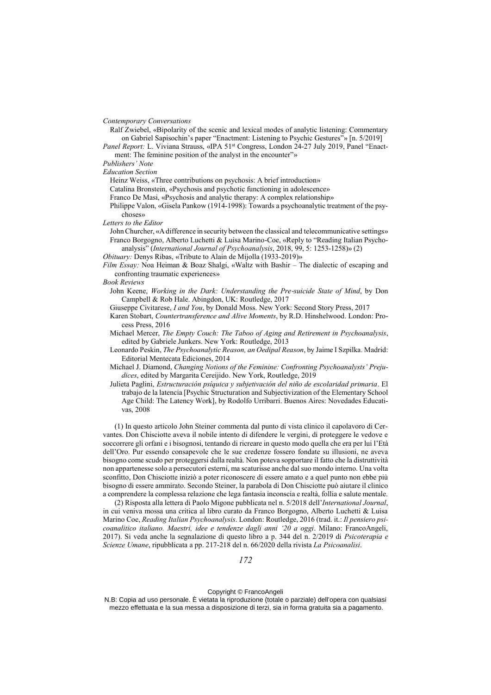*Contemporary Conversations*

Ralf Zwiebel, «Bipolarity of the scenic and lexical modes of analytic listening: Commentary on Gabriel Sapisochin's paper "Enactment: Listening to Psychic Gestures"» [n. 5/2019]

Panel Report: L. Viviana Strauss, «IPA 51<sup>st</sup> Congress, London 24-27 July 2019, Panel "Enactment: The feminine position of the analyst in the encounter"»

*Publishers' Note*

*Education Section*

Heinz Weiss, «Three contributions on psychosis: A brief introduction»

Catalina Bronstein, «Psychosis and psychotic functioning in adolescence»

Franco De Masi, «Psychosis and analytic therapy: A complex relationship»

Philippe Valon, «Gisela Pankow (1914-1998): Towards a psychoanalytic treatment of the psychoses»

*Letters to the Editor*

John Churcher, «A difference in security between the classical and telecommunicative settings» Franco Borgogno, Alberto Luchetti & Luisa Marino-Coe, «Reply to "Reading Italian Psychoanalysis" (*International Journal of Psychoanalysis*, 2018, 99, 5: 1253-1258)» (2)

*Obituary:* Denys Ribas, «Tribute to Alain de Mijolla (1933-2019)»

*Film Essay:* Noa Heiman & Boaz Shalgi, «Waltz with Bashir – The dialectic of escaping and confronting traumatic experiences»

*Book Reviews*

- John Keene, *Working in the Dark: Understanding the Pre*‐*suicide State of Mind*, by Don Campbell & Rob Hale. Abingdon, UK: Routledge, 2017
- Giuseppe Civitarese, *I and You*, by Donald Moss. New York: Second Story Press, 2017
- Karen Stobart, *Countertransference and Alive Moments*, by R.D. Hinshelwood. London: Process Press, 2016
- Michael Mercer, *The Empty Couch: The Taboo of Aging and Retirement in Psychoanalysis*, edited by Gabriele Junkers. New York: Routledge, 2013
- Leonardo Peskin, *The Psychoanalytic Reason, an Oedipal Reason*, by Jaime I Szpilka. Madrid: Editorial Mentecata Ediciones, 2014
- Michael J. Diamond, *Changing Notions of the Feminine: Confronting Psychoanalysts' Prejudices*, edited by Margarita Cereijido. New York, Routledge, 2019

Julieta Paglini, *Estructuración psíquica y subjetivación del niño de escolaridad primaria*. El trabajo de la latencia [Psychic Structuration and Subjectivization of the Elementary School Age Child: The Latency Work], by Rodolfo Urribarri. Buenos Aires: Novedades Educativas, 2008

(1) In questo articolo John Steiner commenta dal punto di vista clinico il capolavoro di Cervantes. Don Chisciotte aveva il nobile intento di difendere le vergini, di proteggere le vedove e soccorrere gli orfani e i bisognosi, tentando di ricreare in questo modo quella che era per lui l'Età dell'Oro. Pur essendo consapevole che le sue credenze fossero fondate su illusioni, ne aveva bisogno come scudo per proteggersi dalla realtà. Non poteva sopportare il fatto che la distruttività non appartenesse solo a persecutori esterni, ma scaturisse anche dal suo mondo interno. Una volta sconfitto, Don Chisciotte iniziò a poter riconoscere di essere amato e a quel punto non ebbe più bisogno di essere ammirato. Secondo Steiner, la parabola di Don Chisciotte può aiutare il clinico a comprendere la complessa relazione che lega fantasia inconscia e realtà, follia e salute mentale.

(2) Risposta alla lettera di Paolo Migone pubblicata nel n. 5/2018 dell'*International Journal*, in cui veniva mossa una critica al libro curato da Franco Borgogno, Alberto Luchetti & Luisa Marino Coe, *Reading Italian Psychoanalysis*. London: Routledge, 2016 (trad. it.: *Il pensiero psicoanalitico italiano. Maestri, idee e tendenze dagli anni '20 a oggi*. Milano: FrancoAngeli, 2017). Si veda anche la segnalazione di questo libro a p. 344 del n. 2/2019 di *Psicoterapia e Scienze Umane*, ripubblicata a pp. 217-218 del n. 66/2020 della rivista *La Psicoanalisi*.

Copyright © FrancoAngeli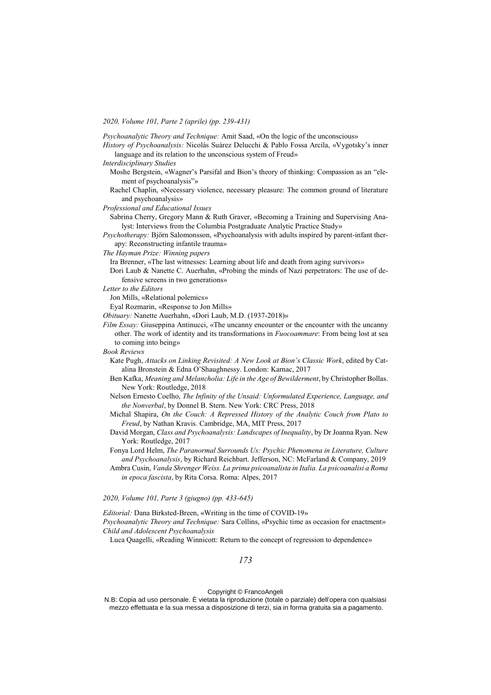*2020, Volume 101, Parte 2 (aprile) (pp. 239-431)*

*Psychoanalytic Theory and Technique:* Amit Saad, «On the logic of the unconscious»

- *History of Psychoanalysis:* Nicolás Suárez Delucchi & Pablo Fossa Arcila, «Vygotsky's inner language and its relation to the unconscious system of Freud»
- *Interdisciplinary Studies*
	- Moshe Bergstein, «Wagner's Parsifal and Bion's theory of thinking: Compassion as an "element of psychoanalysis"»
	- Rachel Chaplin, «Necessary violence, necessary pleasure: The common ground of literature and psychoanalysis»
- *Professional and Educational Issues*

Sabrina Cherry, Gregory Mann & Ruth Graver, «Becoming a Training and Supervising Analyst: Interviews from the Columbia Postgraduate Analytic Practice Study»

*Psychotherapy:* Björn Salomonsson, «Psychoanalysis with adults inspired by parent-infant therapy: Reconstructing infantile trauma»

*The Hayman Prize: Winning papers*

Ira Brenner, «The last witnesses: Learning about life and death from aging survivors»

Dori Laub & Nanette C. Auerhahn, «Probing the minds of Nazi perpetrators: The use of defensive screens in two generations»

*Letter to the Editors*

Jon Mills, «Relational polemics»

Eyal Rozmarin, «Response to Jon Mills»

- *Obituary:* Nanette Auerhahn, «Dori Laub, M.D. (1937-2018)»
- *Film Essay:* Giuseppina Antinucci, «The uncanny encounter or the encounter with the uncanny other. The work of identity and its transformations in *Fuocoammare*: From being lost at sea to coming into being»

#### *Book Reviews*

- Kate Pugh, *Attacks on Linking Revisited: A New Look at Bion's Classic Work*, edited by Catalina Bronstein & Edna O'Shaughnessy. London: Karnac, 2017
- Ben Kafka, *Meaning and Melancholia: Life in the Age of Bewilderment*, by Christopher Bollas. New York: Routledge, 2018
- Nelson Ernesto Coelho, *The Infinity of the Unsaid: Unformulated Experience, Language, and the Nonverbal*, by Donnel B. Stern. New York: CRC Press, 2018
- Michal Shapira, *On the Couch: A Repressed History of the Analytic Couch from Plato to Freud*, by Nathan Kravis. Cambridge, MA, MIT Press, 2017
- David Morgan, *Class and Psychoanalysis: Landscapes of Inequality*, by Dr Joanna Ryan. New York: Routledge, 2017

Fonya Lord Helm, *The Paranormal Surrounds Us: Psychic Phenomena in Literature, Culture and Psychoanalysis*, by Richard Reichbart. Jefferson, NC: McFarland & Company, 2019

Ambra Cusin, *Vanda Shrenger Weiss. La prima psicoanalista in Italia. La psicoanalisi a Roma in epoca fascista*, by Rita Corsa. Roma: Alpes, 2017

*2020, Volume 101, Parte 3 (giugno) (pp. 433-645)*

*Editorial:* Dana Birksted-Breen, «Writing in the time of COVID-19»

*Psychoanalytic Theory and Technique:* Sara Collins, «Psychic time as occasion for enactment» *Child and Adolescent Psychoanalysis*

Luca Quagelli, «Reading Winnicott: Return to the concept of regression to dependence»

*173*

# Copyright © FrancoAngeli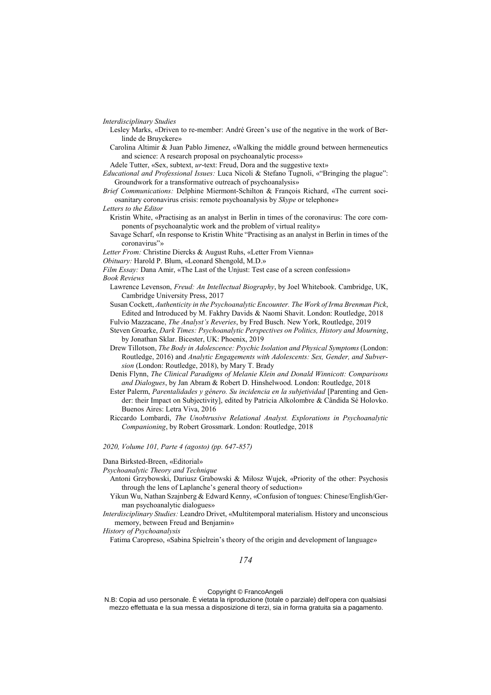*Interdisciplinary Studies*

- Lesley Marks, «Driven to re-member: André Green's use of the negative in the work of Berlinde de Bruyckere»
- Carolina Altimir & Juan Pablo Jimenez, «Walking the middle ground between hermeneutics and science: A research proposal on psychoanalytic process»

Adele Tutter, «Sex, subtext, *ur*-text: Freud, Dora and the suggestive text»

- *Educational and Professional Issues:* Luca Nicoli & Stefano Tugnoli, «"Bringing the plague": Groundwork for a transformative outreach of psychoanalysis»
- *Brief Communications:* Delphine Miermont-Schilton & François Richard, «The current sociosanitary coronavirus crisis: remote psychoanalysis by *Skype* or telephone»
- *Letters to the Editor*
	- Kristin White, «Practising as an analyst in Berlin in times of the coronavirus: The core components of psychoanalytic work and the problem of virtual reality»
	- Savage Scharf, «In response to Kristin White "Practising as an analyst in Berlin in times of the coronavirus"»
- *Letter From:* Christine Diercks & August Ruhs, «Letter From Vienna»
- *Obituary:* Harold P. Blum, «Leonard Shengold, M.D.»

*Film Essay:* Dana Amir, «The Last of the Unjust: Test case of a screen confession» *Book Reviews*

- Lawrence Levenson, *Freud: An Intellectual Biography*, by Joel Whitebook. Cambridge, UK, Cambridge University Press, 2017
- Susan Cockett, *Authenticity in the Psychoanalytic Encounter. The Work of Irma Brenman Pick*, Edited and Introduced by M. Fakhry Davids & Naomi Shavit. London: Routledge, 2018
- Fulvio Mazzacane, *The Analyst's Reveries*, by Fred Busch. New York, Routledge, 2019
- Steven Groarke, *Dark Times: Psychoanalytic Perspectives on Politics, History and Mourning*, by Jonathan Sklar. Bicester, UK: Phoenix, 2019
- Drew Tillotson, *The Body in Adolescence: Psychic Isolation and Physical Symptoms* (London: Routledge, 2016) and *Analytic Engagements with Adolescents: Sex, Gender, and Subversion* (London: Routledge, 2018), by Mary T. Brady
- Denis Flynn, *The Clinical Paradigms of Melanie Klein and Donald Winnicott: Comparisons and Dialogues*, by Jan Abram & Robert D. Hinshelwood. London: Routledge, 2018
- Ester Palerm, *Parentalidades y género. Su incidencia en la subjetividad* [Parenting and Gender: their Impact on Subjectivity], edited by Patricia Alkolombre & Cândida Sé Holovko. Buenos Aires: Letra Viva, 2016
- Riccardo Lombardi, *The Unobtrusive Relational Analyst. Explorations in Psychoanalytic Companioning*, by Robert Grossmark. London: Routledge, 2018

#### *2020, Volume 101, Parte 4 (agosto) (pp. 647-857)*

#### Dana Birksted-Breen, «Editorial»

*Psychoanalytic Theory and Technique*

- Antoni Grzybowski, Dariusz Grabowski & Miłosz Wujek, «Priority of the other: Psychosis through the lens of Laplanche's general theory of seduction»
- Yikun Wu, Nathan Szajnberg & Edward Kenny, «Confusion of tongues: Chinese/English/German psychoanalytic dialogues»
- *Interdisciplinary Studies:* Leandro Drivet, «Multitemporal materialism. History and unconscious memory, between Freud and Benjamin»

*History of Psychoanalysis*

Fatima Caropreso, «Sabina Spielrein's theory of the origin and development of language»

*174*

# Copyright © FrancoAngeli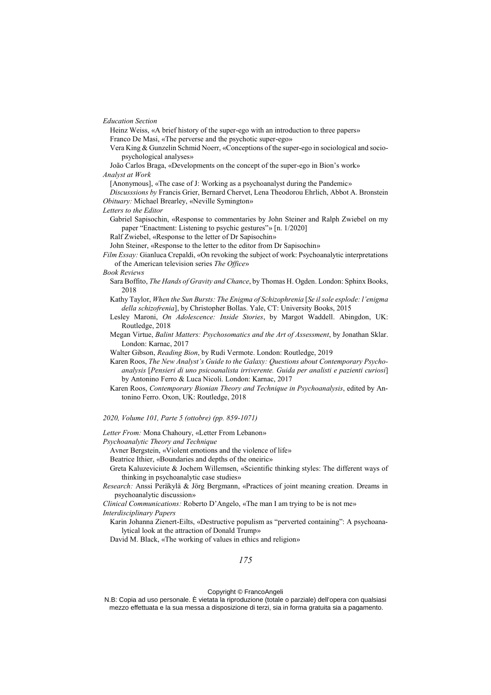*Education Section*

Heinz Weiss, «A brief history of the super-ego with an introduction to three papers» Franco De Masi, «The perverse and the psychotic super-ego»

Vera King & Gunzelin Schmid Noerr, «Conceptions of the super-ego in sociological and sociopsychological analyses»

João Carlos Braga, «Developments on the concept of the super-ego in Bion's work» *Analyst at Work*

[Anonymous], «The case of J: Working as a psychoanalyst during the Pandemic»

*Discusssions by* Francis Grier, Bernard Chervet, Lena Theodorou Ehrlich, Abbot A. Bronstein *Obituary:* Michael Brearley, «Neville Symington»

*Letters to the Editor*

Gabriel Sapisochin, «Response to commentaries by John Steiner and Ralph Zwiebel on my paper "Enactment: Listening to psychic gestures"» [n. 1/2020]

Ralf Zwiebel, «Response to the letter of Dr Sapisochin»

John Steiner, «Response to the letter to the editor from Dr Sapisochin»

*Film Essay:* Gianluca Crepaldi, «On revoking the subject of work: Psychoanalytic interpretations of the American television series *The Office*»

#### *Book Reviews*

- Sara Boffito, *The Hands of Gravity and Chance*, by Thomas H. Ogden. London: Sphinx Books, 2018
- Kathy Taylor, *When the Sun Bursts: The Enigma of Schizophrenia* [*Se il sole esplode: l'enigma della schizofrenia*], by Christopher Bollas. Yale, CT: University Books, 2015
- Lesley Maroni, *On Adolescence: Inside Stories*, by Margot Waddell. Abingdon, UK: Routledge, 2018
- Megan Virtue, *Balint Matters: Psychosomatics and the Art of Assessment*, by Jonathan Sklar. London: Karnac, 2017
- Walter Gibson, *Reading Bion*, by Rudi Vermote. London: Routledge, 2019
- Karen Roos, *The New Analyst's Guide to the Galaxy: Questions about Contemporary Psychoanalysis* [*Pensieri di uno psicoanalista irriverente. Guida per analisti e pazienti curiosi*] by Antonino Ferro & Luca Nicoli. London: Karnac, 2017
- Karen Roos, *Contemporary Bionian Theory and Technique in Psychoanalysis*, edited by Antonino Ferro. Oxon, UK: Routledge, 2018

*2020, Volume 101, Parte 5 (ottobre) (pp. 859-1071)*

*Letter From:* Mona Chahoury, «Letter From Lebanon»

*Psychoanalytic Theory and Technique*

Avner Bergstein, «Violent emotions and the violence of life»

Beatrice Ithier, «Boundaries and depths of the oneiric»

Greta Kaluzeviciute & Jochem Willemsen, «Scientific thinking styles: The different ways of thinking in psychoanalytic case studies»

*Research:* Anssi Peräkylä & Jörg Bergmann, «Practices of joint meaning creation. Dreams in psychoanalytic discussion»

*Clinical Communications:* Roberto D'Angelo, «The man I am trying to be is not me» *Interdisciplinary Papers*

Karin Johanna Zienert-Eilts, «Destructive populism as "perverted containing": A psychoanalytical look at the attraction of Donald Trump»

David M. Black, «The working of values in ethics and religion»

*175*

# Copyright © FrancoAngeli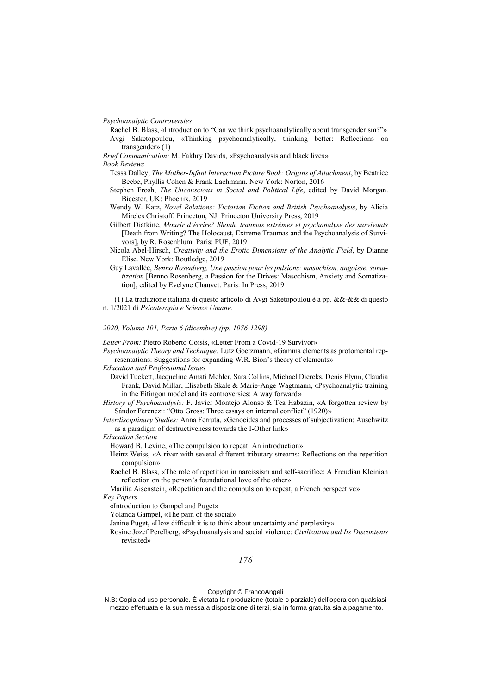*Psychoanalytic Controversies*

Rachel B. Blass, «Introduction to "Can we think psychoanalytically about transgenderism?"» Avgi Saketopoulou, «Thinking psychoanalytically, thinking better: Reflections on transgender» (1)

*Brief Communication:* M. Fakhry Davids, «Psychoanalysis and black lives»

*Book Reviews*

- Tessa Dalley, *The Mother-Infant Interaction Picture Book: Origins of Attachment*, by Beatrice Beebe, Phyllis Cohen & Frank Lachmann. New York: Norton, 2016
- Stephen Frosh, *The Unconscious in Social and Political Life*, edited by David Morgan. Bicester, UK: Phoenix, 2019
- Wendy W. Katz, *Novel Relations: Victorian Fiction and British Psychoanalysis*, by Alicia Mireles Christoff. Princeton, NJ: Princeton University Press, 2019
- Gilbert Diatkine, *Mourir d'écrire? Shoah, traumas extrêmes et psychanalyse des survivants* [Death from Writing? The Holocaust, Extreme Traumas and the Psychoanalysis of Survivors], by R. Rosenblum. Paris: PUF, 2019
- Nicola Abel-Hirsch, *Creativity and the Erotic Dimensions of the Analytic Field*, by Dianne Elise. New York: Routledge, 2019
- Guy Lavallée, *Benno Rosenberg, Une passion pour les pulsions: masochism, angoisse, somatization* [Benno Rosenberg, a Passion for the Drives: Masochism, Anxiety and Somatization], edited by Evelyne Chauvet. Paris: In Press, 2019

(1) La traduzione italiana di questo articolo di Avgi Saketopoulou è a pp. &&-&& di questo n. 1/2021 di *Psicoterapia e Scienze Umane*.

*2020, Volume 101, Parte 6 (dicembre) (pp. 1076-1298)*

*Letter From:* Pietro Roberto Goisis, «Letter From a Covid-19 Survivor»

*Psychoanalytic Theory and Technique:* Lutz Goetzmann, «Gamma elements as protomental representations: Suggestions for expanding W.R. Bion's theory of elements»

*Education and Professional Issues*

David Tuckett, Jacqueline Amati Mehler, Sara Collins, Michael Diercks, Denis Flynn, Claudia Frank, David Millar, Elisabeth Skale & Marie-Ange Wagtmann, «Psychoanalytic training in the Eitingon model and its controversies: A way forward»

- *History of Psychoanalysis:* F. Javier Montejo Alonso & Tea Habazin, «A forgotten review by Sándor Ferenczi: "Otto Gross: Three essays on internal conflict" (1920)»
- *Interdisciplinary Studies:* Anna Ferruta, «Genocides and processes of subjectivation: Auschwitz as a paradigm of destructiveness towards the I-Other link»

*Education Section*

Howard B. Levine, «The compulsion to repeat: An introduction»

- Heinz Weiss, «A river with several different tributary streams: Reflections on the repetition compulsion»
- Rachel B. Blass, «The role of repetition in narcissism and self-sacrifice: A Freudian Kleinian reflection on the person's foundational love of the other»
- Marilia Aisenstein, «Repetition and the compulsion to repeat, a French perspective»

*Key Papers*

«Introduction to Gampel and Puget»

Yolanda Gampel, «The pain of the social»

Janine Puget, «How difficult it is to think about uncertainty and perplexity»

Rosine Jozef Perelberg, «Psychoanalysis and social violence: *Civilization and Its Discontents* revisited»

*176*

Copyright © FrancoAngeli

N.B: Copia ad uso personale. È vietata la riproduzione (totale o parziale) dell'opera con qualsiasi mezzo effettuata e la sua messa a disposizione di terzi, sia in forma gratuita sia a pagamento.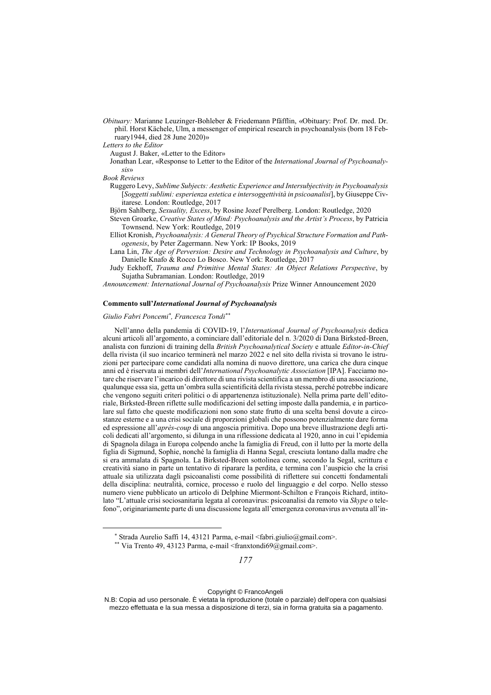- *Obituary:* Marianne Leuzinger-Bohleber & Friedemann Pfäfflin, «Obituary: Prof. Dr. med. Dr. phil. Horst Kächele, Ulm, a messenger of empirical research in psychoanalysis (born 18 February1944, died 28 June 2020)»
- *Letters to the Editor*

August J. Baker, «Letter to the Editor»

Jonathan Lear, «Response to Letter to the Editor of the *International Journal of Psychoanalysis*»

- *Book Reviews*
	- Ruggero Levy, *Sublime Subjects: Aesthetic Experience and Intersubjectivity in Psychoanalysis* [*Soggetti sublimi: esperienza estetica e intersoggettività in psicoanalisi*], by Giuseppe Civitarese. London: Routledge, 2017

Björn Sahlberg, *Sexuality, Excess*, by Rosine Jozef Perelberg. London: Routledge, 2020

- Steven Groarke, *Creative States of Mind: Psychoanalysis and the Artist's Process*, by Patricia Townsend. New York: Routledge, 2019
- Elliot Kronish, *Psychoanalysis: A General Theory of Psychical Structure Formation and Pathogenesis*, by Peter Zagermann. New York: IP Books, 2019
- Lana Lin, *The Age of Perversion: Desire and Technology in Psychoanalysis and Culture*, by Danielle Knafo & Rocco Lo Bosco. New York: Routledge, 2017
- Judy Eekhoff, *Trauma and Primitive Mental States: An Object Relations Perspective*, by Sujatha Subramanian. London: Routledge, 2019

*Announcement: International Journal of Psychoanalysis* Prize Winner Announcement 2020

### **Commento sull'***International Journal of Psychoanalysis*

### *Giulio Fabri Poncemi\* , Francesca Tondi\*\**

Nell'anno della pandemia di COVID-19, l'*International Journal of Psychoanalysis* dedica alcuni articoli all'argomento, a cominciare dall'editoriale del n. 3/2020 di Dana Birksted-Breen, analista con funzioni di training della *British Psychoanalytical Society* e attuale *Editor-in-Chief*  della rivista (il suo incarico terminerà nel marzo 2022 e nel sito della rivista si trovano le istruzioni per partecipare come candidati alla nomina di nuovo direttore, una carica che dura cinque anni ed è riservata ai membri dell'*International Psychoanalytic Association* [IPA]. Facciamo notare che riservare l'incarico di direttore di una rivista scientifica a un membro di una associazione, qualunque essa sia, getta un'ombra sulla scientificità della rivista stessa, perché potrebbe indicare che vengono seguiti criteri politici o di appartenenza istituzionale). Nella prima parte dell'editoriale, Birksted-Breen riflette sulle modificazioni del setting imposte dalla pandemia, e in particolare sul fatto che queste modificazioni non sono state frutto di una scelta bensì dovute a circostanze esterne e a una crisi sociale di proporzioni globali che possono potenzialmente dare forma ed espressione all'*après-coup* di una angoscia primitiva. Dopo una breve illustrazione degli articoli dedicati all'argomento, si dilunga in una riflessione dedicata al 1920, anno in cui l'epidemia di Spagnola dilaga in Europa colpendo anche la famiglia di Freud, con il lutto per la morte della figlia di Sigmund, Sophie, nonché la famiglia di Hanna Segal, cresciuta lontano dalla madre che si era ammalata di Spagnola. La Birksted-Breen sottolinea come, secondo la Segal, scrittura e creatività siano in parte un tentativo di riparare la perdita, e termina con l'auspicio che la crisi attuale sia utilizzata dagli psicoanalisti come possibilità di riflettere sui concetti fondamentali della disciplina: neutralità, cornice, processo e ruolo del linguaggio e del corpo. Nello stesso numero viene pubblicato un articolo di Delphine Miermont-Schilton e François Richard, intitolato "L'attuale crisi sociosanitaria legata al coronavirus: psicoanalisi da remoto via *Skype* o telefono", originariamente parte di una discussione legata all'emergenza coronavirus avvenuta all'in-

Copyright © FrancoAngeli

<sup>\*</sup> Strada Aurelio Saffi 14, 43121 Parma, e-mail <fabri.giulio@gmail.com>.

<sup>\*\*</sup> Via Trento 49, 43123 Parma, e-mail <franxtondi69@gmail.com>.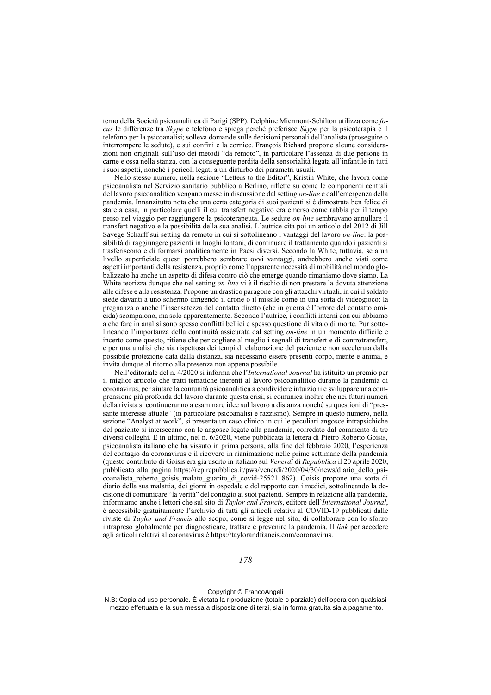terno della Società psicoanalitica di Parigi (SPP). Delphine Miermont-Schilton utilizza come *focus* le differenze tra *Skype* e telefono e spiega perché preferisce *Skype* per la psicoterapia e il telefono per la psicoanalisi; solleva domande sulle decisioni personali dell'analista (proseguire o interrompere le sedute), e sui confini e la cornice. François Richard propone alcune considerazioni non originali sull'uso dei metodi "da remoto", in particolare l'assenza di due persone in carne e ossa nella stanza, con la conseguente perdita della sensorialità legata all'infantile in tutti i suoi aspetti, nonché i pericoli legati a un disturbo dei parametri usuali.

Nello stesso numero, nella sezione "Letters to the Editor", Kristin White, che lavora come psicoanalista nel Servizio sanitario pubblico a Berlino, riflette su come le componenti centrali del lavoro psicoanalitico vengano messe in discussione dal setting *on-line* e dall'emergenza della pandemia. Innanzitutto nota che una certa categoria di suoi pazienti si è dimostrata ben felice di stare a casa, in particolare quelli il cui transfert negativo era emerso come rabbia per il tempo perso nel viaggio per raggiungere la psicoterapeuta. Le sedute *on-line* sembravano annullare il transfert negativo e la possibilità della sua analisi. L'autrice cita poi un articolo del 2012 di Jill Savege Scharff sui setting da remoto in cui si sottolineano i vantaggi del lavoro *on-line*: la possibilità di raggiungere pazienti in luoghi lontani, di continuare il trattamento quando i pazienti si trasferiscono e di formarsi analiticamente in Paesi diversi. Secondo la White, tuttavia, se a un livello superficiale questi potrebbero sembrare ovvi vantaggi, andrebbero anche visti come aspetti importanti della resistenza, proprio come l'apparente necessità di mobilità nel mondo globalizzato ha anche un aspetto di difesa contro ciò che emerge quando rimaniamo dove siamo. La White teorizza dunque che nel setting *on-line* vi è il rischio di non prestare la dovuta attenzione alle difese e alla resistenza. Propone un drastico paragone con gli attacchi virtuali, in cui il soldato siede davanti a uno schermo dirigendo il drone o il missile come in una sorta di videogioco: la pregnanza o anche l'insensatezza del contatto diretto (che in guerra è l'orrore del contatto omicida) scompaiono, ma solo apparentemente. Secondo l'autrice, i conflitti interni con cui abbiamo a che fare in analisi sono spesso conflitti bellici e spesso questione di vita o di morte. Pur sottolineando l'importanza della continuità assicurata dal setting *on-line* in un momento difficile e incerto come questo, ritiene che per cogliere al meglio i segnali di transfert e di controtransfert, e per una analisi che sia rispettosa dei tempi di elaborazione del paziente e non accelerata dalla possibile protezione data dalla distanza, sia necessario essere presenti corpo, mente e anima, e invita dunque al ritorno alla presenza non appena possibile.

Nell'editoriale del n. 4/2020 si informa che l'*International Journal* ha istituito un premio per il miglior articolo che tratti tematiche inerenti al lavoro psicoanalitico durante la pandemia di coronavirus, per aiutare la comunità psicoanalitica a condividere intuizioni e sviluppare una comprensione più profonda del lavoro durante questa crisi; si comunica inoltre che nei futuri numeri della rivista si continueranno a esaminare idee sul lavoro a distanza nonché su questioni di "pressante interesse attuale" (in particolare psicoanalisi e razzismo). Sempre in questo numero, nella sezione "Analyst at work", si presenta un caso clinico in cui le peculiari angosce intrapsichiche del paziente si intersecano con le angosce legate alla pandemia, corredato dal commento di tre diversi colleghi. E in ultimo, nel n. 6/2020, viene pubblicata la lettera di Pietro Roberto Goisis, psicoanalista italiano che ha vissuto in prima persona, alla fine del febbraio 2020, l'esperienza del contagio da coronavirus e il ricovero in rianimazione nelle prime settimane della pandemia (questo contributo di Goisis era già uscito in italiano sul *Venerdì* di *Repubblica* il 20 aprile 2020, pubblicato alla pagina https://rep.repubblica.it/pwa/venerdi/2020/04/30/news/diario\_dello\_psicoanalista\_roberto\_goisis\_malato\_guarito\_di\_covid-255211862). Goisis propone una sorta di diario della sua malattia, dei giorni in ospedale e del rapporto con i medici, sottolineando la decisione di comunicare "la verità" del contagio ai suoi pazienti. Sempre in relazione alla pandemia, informiamo anche i lettori che sul sito di *Taylor and Francis*, editore dell'*International Journal*, è accessibile gratuitamente l'archivio di tutti gli articoli relativi al COVID-19 pubblicati dalle riviste di *Taylor and Francis* allo scopo, come si legge nel sito, di collaborare con lo sforzo intrapreso globalmente per diagnosticare, trattare e prevenire la pandemia. Il *link* per accedere agli articoli relativi al coronavirus è https://taylorandfrancis.com/coronavirus.

*178*

Copyright © FrancoAngeli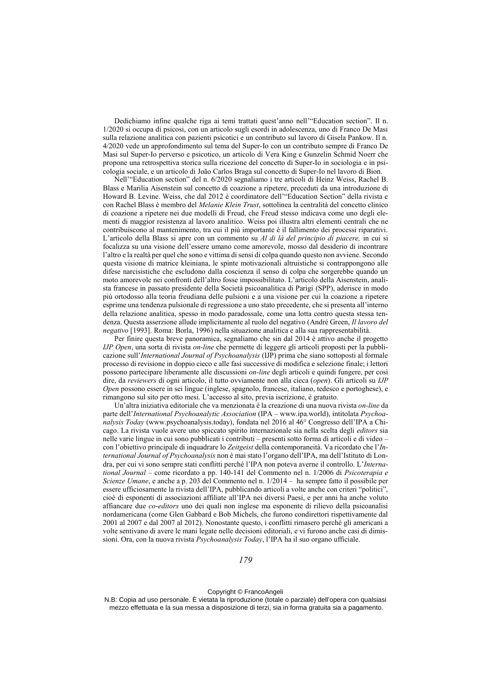Dedichiamo infine qualche riga ai temi trattati quest'anno nell'"Education section". Il n. 1/2020 si occupa di psicosi, con un articolo sugli esordi in adolescenza, uno di Franco De Masi sulla relazione analitica con pazienti psicotici e un contributo sul lavoro di Gisela Pankow. Il n. 4/2020 vede un approfondimento sul tema del Super-Io con un contributo sempre di Franco De Masi sul Super-Io perverso e psicotico, un articolo di Vera King e Gunzelin Schmid Noerr che propone una retrospettiva storica sulla ricezione del concetto di Super-Io in sociologia e in psicologia sociale, e un articolo di João Carlos Braga sul concetto di Super-Io nel lavoro di Bion.

Nell'"Education section" del n. 6/2020 segnaliamo i tre articoli di Heinz Weiss, Rachel B. Blass e Marilia Aisenstein sul concetto di coazione a ripetere, preceduti da una introduzione di Howard B. Levine. Weiss, che dal 2012 è coordinatore dell'"Education Section" della rivista e con Rachel Blass è membro del *Melanie Klein Trust*, sottolinea la centralità del concetto clinico di coazione a ripetere nei due modelli di Freud, che Freud stesso indicava come uno degli elementi di maggior resistenza al lavoro analitico. Weiss poi illustra altri elementi centrali che ne contribuiscono al mantenimento, tra cui il più importante è il fallimento dei processi riparativi. L'articolo della Blass si apre con un commento su *Al di là del principio di piacere,* in cui si focalizza su una visione dell'essere umano come amorevole, mosso dal desiderio di incontrare l'altro e la realtà per quel che sono e vittima di sensi di colpa quando questo non avviene. Secondo questa visione di matrice kleiniana, le spinte motivazionali altruistiche si contrappongono alle difese narcisistiche che escludono dalla coscienza il senso di colpa che sorgerebbe quando un moto amorevole nei confronti dell'altro fosse impossibilitato. L'articolo della Aisenstein, analista francese in passato presidente della Società psicoanalitica di Parigi (SPP), aderisce in modo più ortodosso alla teoria freudiana delle pulsioni e a una visione per cui la coazione a ripetere esprime una tendenza pulsionale di regressione a uno stato precedente, che si presenta all'interno della relazione analitica, spesso in modo paradossale, come una lotta contro questa stessa tendenza. Questa asserzione allude implicitamente al ruolo del negativo (André Green, *Il lavoro del negativo* [1993]. Roma: Borla, 1996) nella situazione analitica e alla sua rappresentabilità.

Per finire questa breve panoramica, segnaliamo che sin dal 2014 è attivo anche il progetto *IJP Open*, una sorta di rivista *on-line* che permette di leggere gli articoli proposti per la pubblicazione sull'*International Journal of Psychoanalysis* (IJP) prima che siano sottoposti al formale processo di revisione in doppio cieco e alle fasi successive di modifica e selezione finale; i lettori possono partecipare liberamente alle discussioni *on-line* degli articoli e quindi fungere, per così dire, da *reviewers* di ogni articolo, il tutto ovviamente non alla cieca (*open*). Gli articoli su *IJP Open* possono essere in sei lingue (inglese, spagnolo, francese, italiano, tedesco e portoghese), e rimangono sul sito per otto mesi. L'accesso al sito, previa iscrizione, è gratuito.

Un'altra iniziativa editoriale che va menzionata è la creazione di una nuova rivista *on-line* da parte dell'*International Psychoanalytic Association* (IPA – www.ipa.world), intitolata *Psychoanalysis Today* (www.psychoanalysis.today), fondata nel 2016 al 46° Congresso dell'IPA a Chicago. La rivista vuole avere uno spiccato spirito internazionale sia nella scelta degli *editors* sia nelle varie lingue in cui sono pubblicati i contributi – presenti sotto forma di articoli e di video – con l'obiettivo principale di inquadrare lo *Zeitgeist* della contemporaneità. Va ricordato che l'*International Journal of Psychoanalysis* non è mai stato l'organo dell'IPA, ma dell'Istituto di Londra, per cui vi sono sempre stati conflitti perché l'IPA non poteva averne il controllo. L'*International Journal* – come ricordato a pp. 140-141 del Commento nel n. 1/2006 di *Psicoterapia e Scienze Umane*, e anche a p. 203 del Commento nel n. 1/2014 – ha sempre fatto il possibile per essere ufficiosamente la rivista dell'IPA, pubblicando articoli a volte anche con criteri "politici", cioè di esponenti di associazioni affiliate all'IPA nei diversi Paesi, e per anni ha anche voluto affiancare due *co-editors* uno dei quali non inglese ma esponente di rilievo della psicoanalisi nordamericana (come Glen Gabbard e Bob Michels, che furono condirettori rispettivamente dal 2001 al 2007 e dal 2007 al 2012). Nonostante questo, i conflitti rimasero perché gli americani a volte sentivano di avere le mani legate nelle decisioni editoriali, e vi furono anche casi di dimissioni. Ora, con la nuova rivista *Psychoanalysis Today*, l'IPA ha il suo organo ufficiale.

*179*

Copyright © FrancoAngeli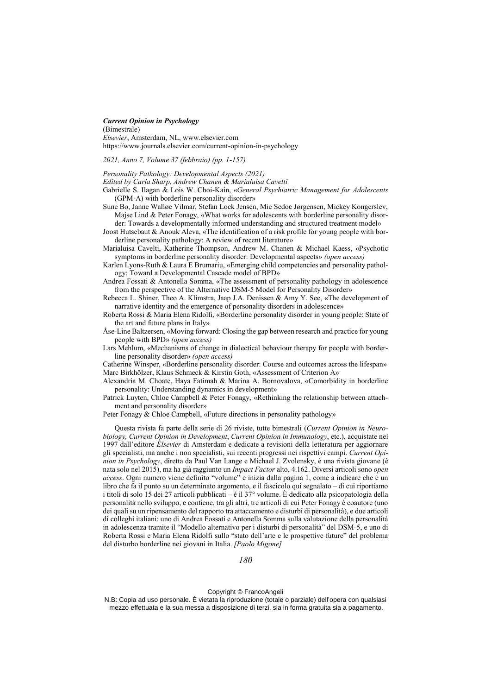### *Current Opinion in Psychology*

(Bimestrale)

*Elsevier*, Amsterdam, NL, www.elsevier.com https://www.journals.elsevier.com/current-opinion-in-psychology

*2021, Anno 7, Volume 37 (febbraio) (pp. 1-157)*

*Personality Pathology: Developmental Aspects (2021) Edited by Carla Sharp, Andrew Chanen & Marialuisa Cavelti*

- Gabrielle S. Ilagan & Lois W. Choi-Kain, «*General Psychiatric Management for Adolescents* (GPM-A) with borderline personality disorder»
- Sune Bo, Janne Walløe Vilmar, Stefan Lock Jensen, Mie Sedoc Jørgensen, Mickey Kongerslev, Majse Lind & Peter Fonagy, «What works for adolescents with borderline personality disorder: Towards a developmentally informed understanding and structured treatment model»
- Joost Hutsebaut & Anouk Aleva, «The identification of a risk profile for young people with borderline personality pathology: A review of recent literature»
- Marialuisa Cavelti, Katherine Thompson, Andrew M. Chanen & Michael Kaess, «Psychotic symptoms in borderline personality disorder: Developmental aspects» *(open access)*
- Karlen Lyons-Ruth & Laura E Brumariu, «Emerging child competencies and personality pathology: Toward a Developmental Cascade model of BPD»
- Andrea Fossati & Antonella Somma, «The assessment of personality pathology in adolescence from the perspective of the Alternative DSM-5 Model for Personality Disorder»
- Rebecca L. Shiner, Theo A. Klimstra, Jaap J.A. Denissen & Amy Y. See, «The development of narrative identity and the emergence of personality disorders in adolescence»
- Roberta Rossi & Maria Elena Ridolfi, «Borderline personality disorder in young people: State of the art and future plans in Italy»
- Åse-Line Baltzersen, «Moving forward: Closing the gap between research and practice for young people with BPD» *(open access)*
- Lars Mehlum, «Mechanisms of change in dialectical behaviour therapy for people with borderline personality disorder» *(open access)*
- Catherine Winsper, «Borderline personality disorder: Course and outcomes across the lifespan» Marc Birkhölzer, Klaus Schmeck & Kirstin Goth, «Assessment of Criterion A»
- Alexandria M. Choate, Haya Fatimah & Marina A. Bornovalova, «Comorbidity in borderline personality: Understanding dynamics in development»
- Patrick Luyten, Chloe Campbell & Peter Fonagy, «Rethinking the relationship between attachment and personality disorder»
- Peter Fonagy & Chloe Campbell, «Future directions in personality pathology»

Questa rivista fa parte della serie di 26 riviste, tutte bimestrali (*Current Opinion in Neurobiology, Current Opinion in Development*, *Current Opinion in Immunology*, etc.), acquistate nel 1997 dall'editore *Elsevier* di Amsterdam e dedicate a revisioni della letteratura per aggiornare gli specialisti, ma anche i non specialisti, sui recenti progressi nei rispettivi campi. *Current Opinion in Psychology*, diretta da Paul Van Lange e Michael J. Zvolensky, è una rivista giovane (è nata solo nel 2015), ma ha già raggiunto un *Impact Factor* alto, 4.162. Diversi articoli sono *open access*. Ogni numero viene definito "volume" e inizia dalla pagina 1, come a indicare che è un libro che fa il punto su un determinato argomento, e il fascicolo qui segnalato – di cui riportiamo i titoli di solo 15 dei 27 articoli pubblicati – è il 37° volume. È dedicato alla psicopatologia della personalità nello sviluppo, e contiene, tra gli altri, tre articoli di cui Peter Fonagy è coautore (uno dei quali su un ripensamento del rapporto tra attaccamento e disturbi di personalità), e due articoli di colleghi italiani: uno di Andrea Fossati e Antonella Somma sulla valutazione della personalità in adolescenza tramite il "Modello alternativo per i disturbi di personalità" del DSM-5, e uno di Roberta Rossi e Maria Elena Ridolfi sullo "stato dell'arte e le prospettive future" del problema del disturbo borderline nei giovani in Italia. *[Paolo Migone]*

*180*

Copyright © FrancoAngeli